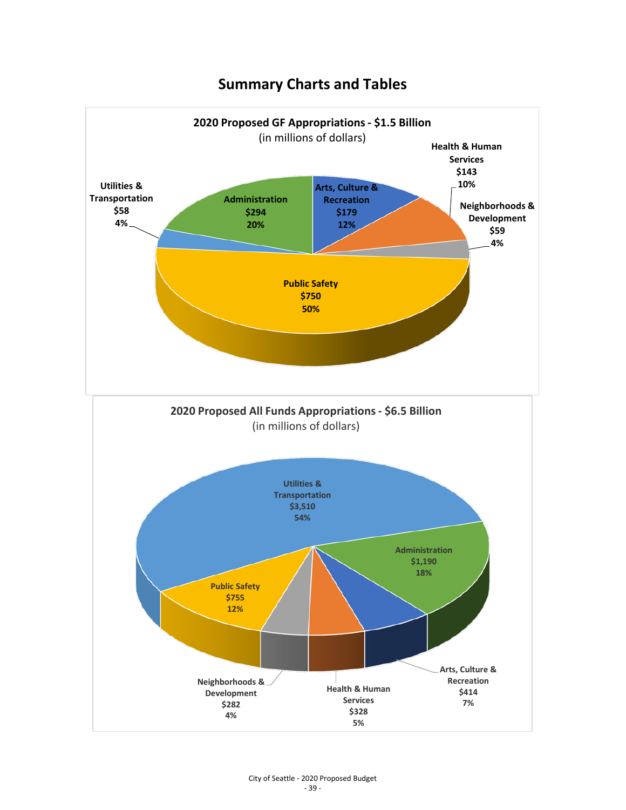## **Summary Charts and Tables**

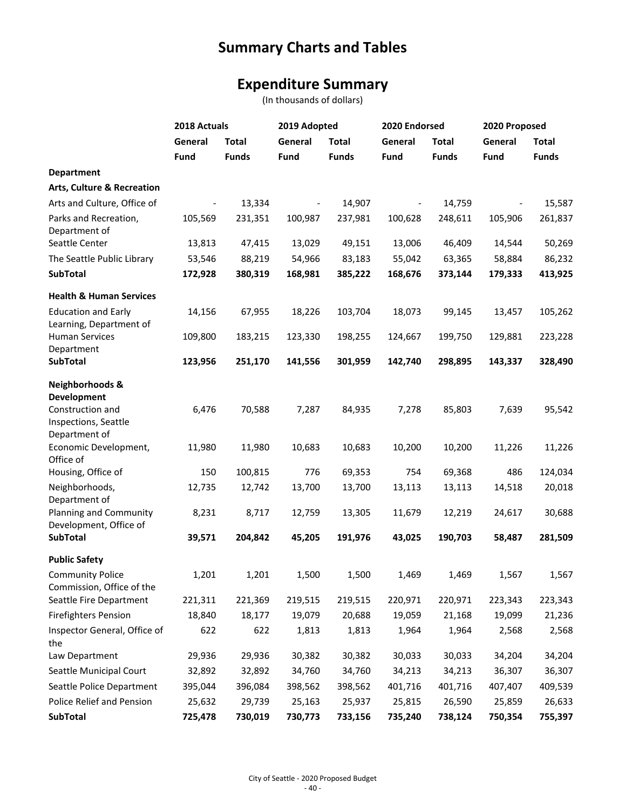## **Summary Charts and Tables**

## **Expenditure Summary**

(In thousands of dollars)

|                                           | 2018 Actuals |              | 2019 Adopted |              | 2020 Endorsed            |              | 2020 Proposed |              |
|-------------------------------------------|--------------|--------------|--------------|--------------|--------------------------|--------------|---------------|--------------|
|                                           | General      | <b>Total</b> | General      | <b>Total</b> | General                  | <b>Total</b> | General       | <b>Total</b> |
|                                           | <b>Fund</b>  | <b>Funds</b> | Fund         | <b>Funds</b> | Fund                     | <b>Funds</b> | Fund          | <b>Funds</b> |
| <b>Department</b>                         |              |              |              |              |                          |              |               |              |
| <b>Arts, Culture &amp; Recreation</b>     |              |              |              |              |                          |              |               |              |
| Arts and Culture, Office of               |              | 13,334       |              | 14,907       | $\overline{\phantom{a}}$ | 14,759       |               | 15,587       |
| Parks and Recreation,                     | 105,569      | 231,351      | 100,987      | 237,981      | 100,628                  | 248,611      | 105,906       | 261,837      |
| Department of                             |              |              |              |              |                          |              |               |              |
| Seattle Center                            | 13,813       | 47,415       | 13,029       | 49,151       | 13,006                   | 46,409       | 14,544        | 50,269       |
| The Seattle Public Library                | 53,546       | 88,219       | 54,966       | 83,183       | 55,042                   | 63,365       | 58,884        | 86,232       |
| <b>SubTotal</b>                           | 172,928      | 380,319      | 168,981      | 385,222      | 168,676                  | 373,144      | 179,333       | 413,925      |
| <b>Health &amp; Human Services</b>        |              |              |              |              |                          |              |               |              |
| <b>Education and Early</b>                | 14,156       | 67,955       | 18,226       | 103,704      | 18,073                   | 99,145       | 13,457        | 105,262      |
| Learning, Department of                   |              |              |              |              |                          |              |               |              |
| <b>Human Services</b>                     | 109,800      | 183,215      | 123,330      | 198,255      | 124,667                  | 199,750      | 129,881       | 223,228      |
| Department                                |              |              |              |              |                          |              |               |              |
| <b>SubTotal</b>                           | 123,956      | 251,170      | 141,556      | 301,959      | 142,740                  | 298,895      | 143,337       | 328,490      |
| <b>Neighborhoods &amp;</b>                |              |              |              |              |                          |              |               |              |
| Development                               |              |              |              |              |                          |              |               |              |
| Construction and                          | 6,476        | 70,588       | 7,287        | 84,935       | 7,278                    | 85,803       | 7,639         | 95,542       |
| Inspections, Seattle                      |              |              |              |              |                          |              |               |              |
| Department of<br>Economic Development,    | 11,980       | 11,980       | 10,683       | 10,683       | 10,200                   | 10,200       | 11,226        | 11,226       |
| Office of                                 |              |              |              |              |                          |              |               |              |
| Housing, Office of                        | 150          | 100,815      | 776          | 69,353       | 754                      | 69,368       | 486           | 124,034      |
| Neighborhoods,                            | 12,735       | 12,742       | 13,700       | 13,700       | 13,113                   | 13,113       | 14,518        | 20,018       |
| Department of                             |              |              |              |              |                          |              |               |              |
| Planning and Community                    | 8,231        | 8,717        | 12,759       | 13,305       | 11,679                   | 12,219       | 24,617        | 30,688       |
| Development, Office of<br><b>SubTotal</b> | 39,571       | 204,842      | 45,205       | 191,976      | 43,025                   | 190,703      | 58,487        | 281,509      |
|                                           |              |              |              |              |                          |              |               |              |
| <b>Public Safety</b>                      |              |              |              |              |                          |              |               |              |
| <b>Community Police</b>                   | 1,201        | 1,201        | 1,500        | 1,500        | 1,469                    | 1,469        | 1,567         | 1,567        |
| Commission, Office of the                 |              |              |              |              |                          |              |               |              |
| Seattle Fire Department                   | 221,311      | 221,369      | 219,515      | 219,515      | 220,971                  | 220,971      | 223,343       | 223,343      |
| <b>Firefighters Pension</b>               | 18,840       | 18,177       | 19,079       | 20,688       | 19,059                   | 21,168       | 19,099        | 21,236       |
| Inspector General, Office of<br>the       | 622          | 622          | 1,813        | 1,813        | 1,964                    | 1,964        | 2,568         | 2,568        |
| Law Department                            | 29,936       | 29,936       | 30,382       | 30,382       | 30,033                   | 30,033       | 34,204        | 34,204       |
| Seattle Municipal Court                   | 32,892       | 32,892       | 34,760       | 34,760       | 34,213                   | 34,213       | 36,307        | 36,307       |
| Seattle Police Department                 | 395,044      | 396,084      | 398,562      | 398,562      | 401,716                  | 401,716      | 407,407       | 409,539      |
| Police Relief and Pension                 | 25,632       | 29,739       | 25,163       | 25,937       | 25,815                   | 26,590       | 25,859        | 26,633       |
| <b>SubTotal</b>                           | 725,478      | 730,019      | 730,773      | 733,156      | 735,240                  | 738,124      | 750,354       | 755,397      |